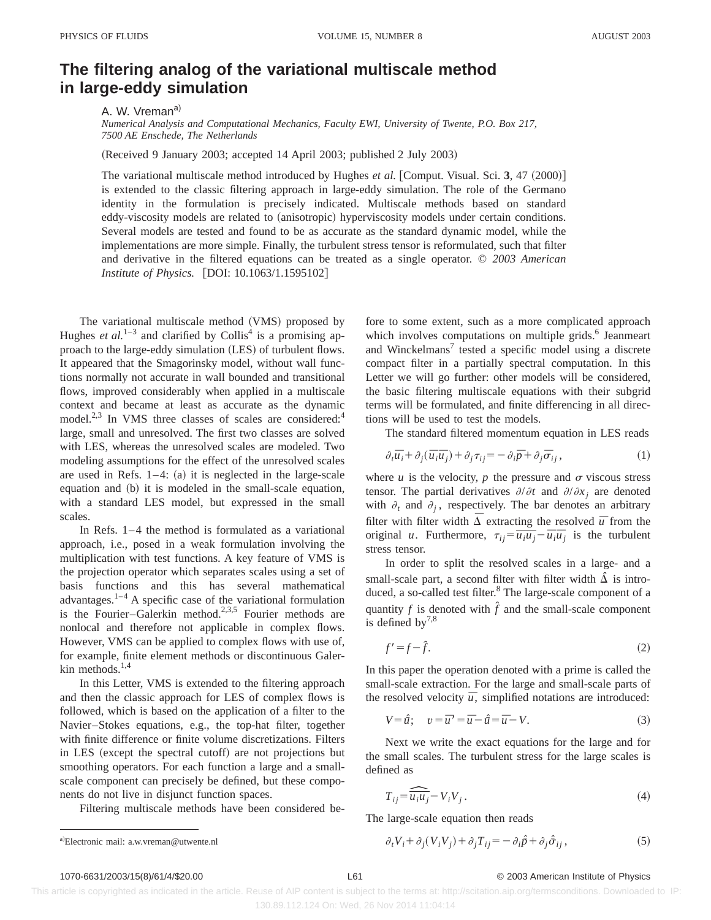## **The filtering analog of the variational multiscale method in large-eddy simulation**

A. W. Vreman<sup>a)</sup>

*Numerical Analysis and Computational Mechanics, Faculty EWI, University of Twente, P.O. Box 217, 7500 AE Enschede, The Netherlands*

(Received 9 January 2003; accepted 14 April 2003; published 2 July 2003)

The variational multiscale method introduced by Hughes *et al.* [Comput. Visual. Sci.  $3, 47$   $(2000)$ ] is extended to the classic filtering approach in large-eddy simulation. The role of the Germano identity in the formulation is precisely indicated. Multiscale methods based on standard eddy-viscosity models are related to (anisotropic) hyperviscosity models under certain conditions. Several models are tested and found to be as accurate as the standard dynamic model, while the implementations are more simple. Finally, the turbulent stress tensor is reformulated, such that filter and derivative in the filtered equations can be treated as a single operator. © *2003 American Institute of Physics.* [DOI: 10.1063/1.1595102]

The variational multiscale method (VMS) proposed by Hughes *et al.*<sup>1–3</sup> and clarified by Collis<sup>4</sup> is a promising approach to the large-eddy simulation (LES) of turbulent flows. It appeared that the Smagorinsky model, without wall functions normally not accurate in wall bounded and transitional flows, improved considerably when applied in a multiscale context and became at least as accurate as the dynamic model.<sup>2,3</sup> In VMS three classes of scales are considered:<sup>4</sup> large, small and unresolved. The first two classes are solved with LES, whereas the unresolved scales are modeled. Two modeling assumptions for the effect of the unresolved scales are used in Refs.  $1-4$ : (a) it is neglected in the large-scale equation and (b) it is modeled in the small-scale equation, with a standard LES model, but expressed in the small scales.

In Refs. 1–4 the method is formulated as a variational approach, i.e., posed in a weak formulation involving the multiplication with test functions. A key feature of VMS is the projection operator which separates scales using a set of basis functions and this has several mathematical advantages. $1-4$  A specific case of the variational formulation is the Fourier–Galerkin method.<sup>2,3,5</sup> Fourier methods are nonlocal and therefore not applicable in complex flows. However, VMS can be applied to complex flows with use of, for example, finite element methods or discontinuous Galerkin methods.<sup>1,4</sup>

In this Letter, VMS is extended to the filtering approach and then the classic approach for LES of complex flows is followed, which is based on the application of a filter to the Navier–Stokes equations, e.g., the top-hat filter, together with finite difference or finite volume discretizations. Filters in LES (except the spectral cutoff) are not projections but smoothing operators. For each function a large and a smallscale component can precisely be defined, but these components do not live in disjunct function spaces.

Filtering multiscale methods have been considered be-

fore to some extent, such as a more complicated approach which involves computations on multiple grids. $<sup>6</sup>$  Jeanmeart</sup> and Winckelmans<sup>7</sup> tested a specific model using a discrete compact filter in a partially spectral computation. In this Letter we will go further: other models will be considered, the basic filtering multiscale equations with their subgrid terms will be formulated, and finite differencing in all directions will be used to test the models.

The standard filtered momentum equation in LES reads

$$
\partial_t \overline{u}_i + \partial_j (\overline{u}_i \overline{u}_j) + \partial_j \tau_{ij} = -\partial_i \overline{p} + \partial_j \overline{\sigma}_{ij}, \qquad (1)
$$

where  $u$  is the velocity,  $p$  the pressure and  $\sigma$  viscous stress tensor. The partial derivatives  $\partial/\partial t$  and  $\partial/\partial x_i$  are denoted with  $\partial_t$  and  $\partial_j$ , respectively. The bar denotes an arbitrary filter with filter width  $\overline{\Delta}$  extracting the resolved  $\overline{u}$  from the original *u*. Furthermore,  $\tau_{ij} = \frac{\partial}{\partial u_i u_j} - \bar{u}_i \bar{u}_j$  is the turbulent stress tensor.

In order to split the resolved scales in a large- and a small-scale part, a second filter with filter width  $\hat{\Delta}$  is introduced, a so-called test filter.<sup>8</sup> The large-scale component of a quantity  $f$  is denoted with  $\hat{f}$  and the small-scale component is defined by $^{7,8}$ 

$$
f' = f - \hat{f}.\tag{2}
$$

In this paper the operation denoted with a prime is called the small-scale extraction. For the large and small-scale parts of the resolved velocity  $\bar{u}$ , simplified notations are introduced:

$$
V = \hat{u}; \quad v = \overline{u} = \overline{u} - \hat{u} = \overline{u} - V.
$$
\n<sup>(3)</sup>

Next we write the exact equations for the large and for the small scales. The turbulent stress for the large scales is defined as

$$
T_{ij} = \widehat{\overline{u_i u_j}} - V_i V_j \,. \tag{4}
$$

The large-scale equation then reads

a) Electronic mail: a.w.vreman@utwente.nl 
$$
\partial_t V_i + \partial_j (V_i V_j) + \partial_j T_{ij} = -\partial_i \hat{p} + \partial_j \hat{\sigma}_{ij},
$$
(5)

## 1070-6631/2003/15(8)/61/4/\$20.00 © 2003 American Institute of Physics L61

 This article is copyrighted as indicated in the article. Reuse of AIP content is subject to the terms at: http://scitation.aip.org/termsconditions. Downloaded to IP: 130.89.112.124 On: Wed, 26 Nov 2014 11:04:14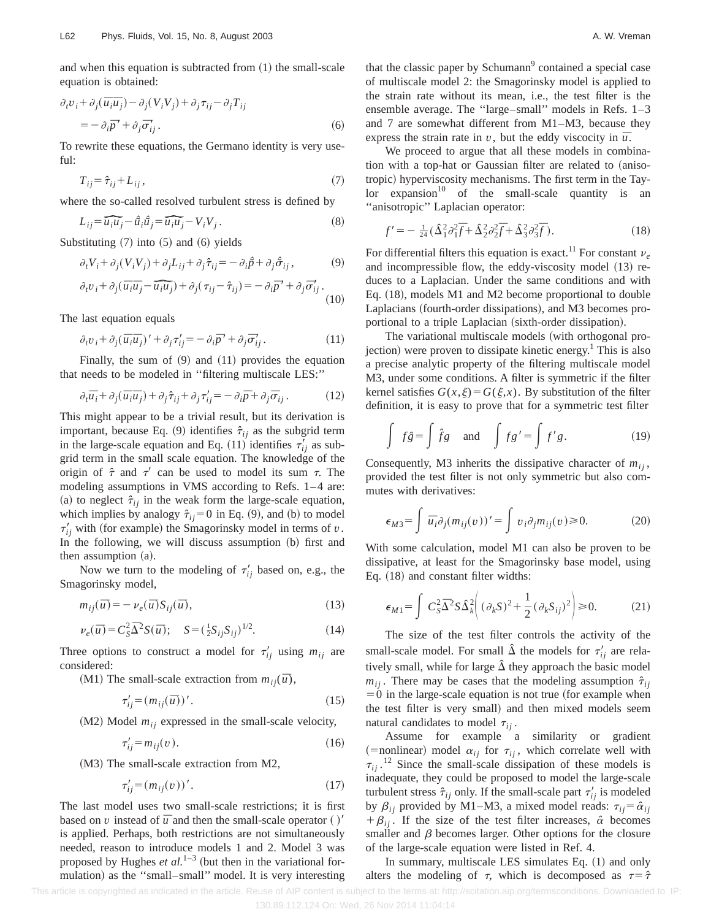$$
\partial_t v_i + \partial_j (\bar{u}_i \bar{u}_j) - \partial_j (V_i V_j) + \partial_j \tau_{ij} - \partial_j T_{ij}
$$
  
= 
$$
-\partial_i \bar{p}' + \partial_j \bar{\sigma}'_{ij}.
$$
 (6)

To rewrite these equations, the Germano identity is very useful:

$$
T_{ij} = \hat{\tau}_{ij} + L_{ij},\tag{7}
$$

where the so-called resolved turbulent stress is defined by

$$
L_{ij} = \widehat{\overline{u_i}\overline{u}_j} - \widehat{u}_i\widehat{\overline{u}}_j = \widehat{\overline{u}_i}\overline{\overline{u}}_j - V_iV_j.
$$
 (8)

Substituting  $(7)$  into  $(5)$  and  $(6)$  yields

$$
\partial_t V_i + \partial_j (V_i V_j) + \partial_j L_{ij} + \partial_j \hat{\tau}_{ij} = -\partial_i \hat{p} + \partial_j \hat{\sigma}_{ij},\tag{9}
$$
\n
$$
\partial_t v_i + \partial_j (\overline{\sigma}_i \overline{\sigma}_i - \overline{\sigma}_i \overline{\sigma}_i) + \partial_j (\sigma_i - \hat{\sigma}_i) = -\partial_j \overline{\sigma}_i' + \partial_j \overline{\sigma}_i'
$$

$$
\partial_i v_i + \partial_j (\overline{u}_i \overline{u}_j - \widehat{\overline{u}_i \overline{u}_j}) + \partial_j (\tau_{ij} - \hat{\tau}_{ij}) = -\partial_i \overline{p}' + \partial_j \overline{\sigma}'_{ij}.
$$
\n(10)

The last equation equals

$$
\partial_t v_i + \partial_j (\bar{u}_i \bar{u}_j)' + \partial_j \tau'_{ij} = -\partial_i \bar{p}' + \partial_j \bar{\sigma}'_{ij} \,. \tag{11}
$$

Finally, the sum of  $(9)$  and  $(11)$  provides the equation that needs to be modeled in ''filtering multiscale LES:''

$$
\partial_t \overline{u}_i + \partial_j (\overline{u}_i \overline{u}_j) + \partial_j \hat{\tau}_{ij} + \partial_j \tau'_{ij} = -\partial_i \overline{p} + \partial_j \overline{\sigma}_{ij} . \tag{12}
$$

This might appear to be a trivial result, but its derivation is important, because Eq. (9) identifies  $\hat{\tau}_{ij}$  as the subgrid term in the large-scale equation and Eq. (11) identifies  $\tau'_{ij}$  as subgrid term in the small scale equation. The knowledge of the origin of  $\hat{\tau}$  and  $\tau'$  can be used to model its sum  $\tau$ . The modeling assumptions in VMS according to Refs. 1–4 are: (a) to neglect  $\hat{\tau}_{ij}$  in the weak form the large-scale equation, which implies by analogy  $\hat{\tau}_{ij}$ =0 in Eq. (9), and (b) to model  $\tau'_{ij}$  with (for example) the Smagorinsky model in terms of *v*. In the following, we will discuss assumption (b) first and then assumption  $(a)$ .

Now we turn to the modeling of  $\tau'_{ij}$  based on, e.g., the Smagorinsky model,

$$
m_{ij}(\overline{u}) = -\nu_e(\overline{u}) S_{ij}(\overline{u}),\tag{13}
$$

$$
\nu_e(\bar{u}) = C_S^2 \bar{\Delta}^2 S(\bar{u}); \quad S = (\frac{1}{2} S_{ij} S_{ij})^{1/2}.
$$
 (14)

Three options to construct a model for  $\tau'_{ii}$  using  $m_{ii}$  are considered:

(M1) The small-scale extraction from  $m_{ii}(\bar{u})$ ,

$$
\tau'_{ij} = (m_{ij}(\overline{u}))'.
$$
\n<sup>(15)</sup>

 $(M2)$  Model  $m_{ij}$  expressed in the small-scale velocity,

$$
\tau'_{ij} = m_{ij}(v). \tag{16}
$$

 $(M3)$  The small-scale extraction from M2,

$$
\tau'_{ij} = (m_{ij}(v))' \tag{17}
$$

The last model uses two small-scale restrictions; it is first based on *v* instead of  $\bar{u}$  and then the small-scale operator ()' is applied. Perhaps, both restrictions are not simultaneously needed, reason to introduce models 1 and 2. Model 3 was proposed by Hughes  $et$   $al.^{1-3}$  (but then in the variational formulation) as the "small-small" model. It is very interesting that the classic paper by Schumann $<sup>9</sup>$  contained a special case</sup> of multiscale model 2: the Smagorinsky model is applied to the strain rate without its mean, i.e., the test filter is the ensemble average. The ''large–small'' models in Refs. 1–3 and 7 are somewhat different from M1–M3, because they express the strain rate in  $v$ , but the eddy viscocity in  $\bar{u}$ .

We proceed to argue that all these models in combination with a top-hat or Gaussian filter are related to (anisotropic) hyperviscosity mechanisms. The first term in the Tay- $\text{lor}$  expansion<sup>10</sup> of the small-scale quantity is an ''anisotropic'' Laplacian operator:

$$
f' = -\frac{1}{24} \left( \frac{\Delta^2}{1} \partial_1^2 \overline{f} + \frac{\Delta^2}{2} \partial_2^2 \overline{f} + \frac{\Delta^2}{3} \partial_3^2 \overline{f} \right). \tag{18}
$$

For differential filters this equation is exact.<sup>11</sup> For constant  $v_e$ and incompressible flow, the eddy-viscosity model  $(13)$  reduces to a Laplacian. Under the same conditions and with Eq.  $(18)$ , models M1 and M2 become proportional to double Laplacians (fourth-order dissipations), and M3 becomes proportional to a triple Laplacian (sixth-order dissipation).

The variational multiscale models (with orthogonal projection) were proven to dissipate kinetic energy.<sup>1</sup> This is also a precise analytic property of the filtering multiscale model M3, under some conditions. A filter is symmetric if the filter kernel satisfies  $G(x,\xi) = G(\xi,x)$ . By substitution of the filter definition, it is easy to prove that for a symmetric test filter

$$
\int f\hat{g} = \int \hat{f}g \quad \text{and} \quad \int f g' = \int f' g. \tag{19}
$$

Consequently, M3 inherits the dissipative character of  $m_{ij}$ , provided the test filter is not only symmetric but also commutes with derivatives:

$$
\epsilon_{M3} = \int \overline{u}_i \partial_j (m_{ij}(v))' = \int v_i \partial_j m_{ij}(v) \ge 0.
$$
 (20)

With some calculation, model M1 can also be proven to be dissipative, at least for the Smagorinsky base model, using Eq.  $(18)$  and constant filter widths:

$$
\epsilon_{M1} = \int C_S^2 \overline{\Delta}^2 S \hat{\Delta}_k^2 \left( (\partial_k S)^2 + \frac{1}{2} (\partial_k S_{ij})^2 \right) \ge 0.
$$
 (21)

The size of the test filter controls the activity of the small-scale model. For small  $\hat{\Delta}$  the models for  $\tau'_{ii}$  are relatively small, while for large  $\hat{\Delta}$  they approach the basic model  $m_{ij}$ . There may be cases that the modeling assumption  $\hat{\tau}_{ij}$  $=0$  in the large-scale equation is not true (for example when the test filter is very small) and then mixed models seem natural candidates to model  $\tau_{ii}$ .

Assume for example a similarity or gradient  $(=nonlinear)$  model  $\alpha_{ij}$  for  $\tau_{ij}$ , which correlate well with  $\tau_{ij}$ .<sup>12</sup> Since the small-scale dissipation of these models is inadequate, they could be proposed to model the large-scale turbulent stress  $\hat{\tau}_{ij}$  only. If the small-scale part  $\tau'_{ij}$  is modeled by  $\beta_{ij}$  provided by M1–M3, a mixed model reads:  $\tau_{ij} = \hat{\alpha}_{ij}$  $+\beta_{ii}$ . If the size of the test filter increases,  $\hat{\alpha}$  becomes smaller and  $\beta$  becomes larger. Other options for the closure of the large-scale equation were listed in Ref. 4.

In summary, multiscale LES simulates Eq.  $(1)$  and only alters the modeling of  $\tau$ , which is decomposed as  $\tau = \hat{\tau}$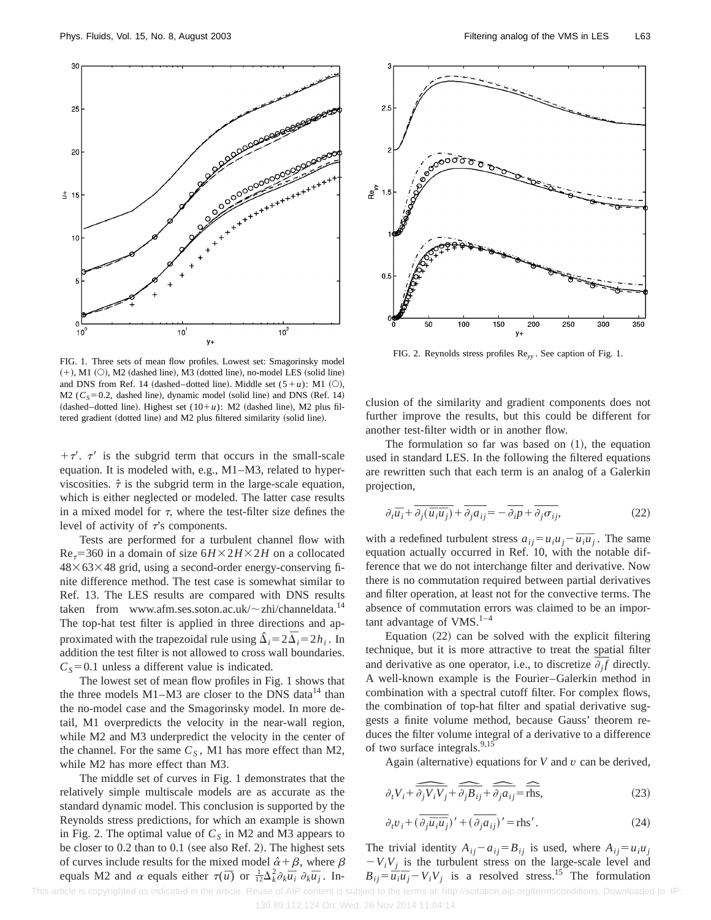

FIG. 1. Three sets of mean flow profiles. Lowest set: Smagorinsky model  $(+)$ , M1  $(O)$ , M2 (dashed line), M3 (dotted line), no-model LES (solid line) and DNS from Ref. 14 (dashed–dotted line). Middle set  $(5+u)$ : M1  $(0)$ , M2 ( $C_s$ =0.2, dashed line), dynamic model (solid line) and DNS (Ref. 14) (dashed–dotted line). Highest set  $(10+u)$ : M2 (dashed line), M2 plus filtered gradient (dotted line) and M2 plus filtered similarity (solid line).

 $+\tau'$ .  $\tau'$  is the subgrid term that occurs in the small-scale equation. It is modeled with, e.g., M1–M3, related to hyperviscosities.  $\hat{\tau}$  is the subgrid term in the large-scale equation, which is either neglected or modeled. The latter case results in a mixed model for  $\tau$ , where the test-filter size defines the level of activity of  $\vec{\tau}$ 's components.

Tests are performed for a turbulent channel flow with  $Re<sub>7</sub>=360$  in a domain of size  $6H\times2H\times2H$  on a collocated  $48\times63\times48$  grid, using a second-order energy-conserving finite difference method. The test case is somewhat similar to Ref. 13. The LES results are compared with DNS results taken from www.afm.ses.soton.ac.uk/ $\sim$ zhi/channeldata.<sup>14</sup> The top-hat test filter is applied in three directions and approximated with the trapezoidal rule using  $\Delta_i = 2\overline{\Delta}_i = 2h_i$ . In addition the test filter is not allowed to cross wall boundaries.  $C<sub>S</sub>=0.1$  unless a different value is indicated.

The lowest set of mean flow profiles in Fig. 1 shows that the three models  $M1-M3$  are closer to the DNS data<sup>14</sup> than the no-model case and the Smagorinsky model. In more detail, M1 overpredicts the velocity in the near-wall region, while M2 and M3 underpredict the velocity in the center of the channel. For the same  $C_s$ , M1 has more effect than M2, while M2 has more effect than M3.

The middle set of curves in Fig. 1 demonstrates that the relatively simple multiscale models are as accurate as the standard dynamic model. This conclusion is supported by the Reynolds stress predictions, for which an example is shown in Fig. 2. The optimal value of  $C<sub>S</sub>$  in M2 and M3 appears to be closer to  $0.2$  than to  $0.1$  (see also Ref. 2). The highest sets of curves include results for the mixed model  $\hat{\alpha} + \beta$ , where  $\beta$ equals M2 and  $\alpha$  equals either  $\tau(\bar{u})$  or  $\frac{1}{12}\Delta_k^2 \partial_k \bar{u}_i \partial_k \bar{u}_j$ . In-



FIG. 2. Reynolds stress profiles Re*yy* . See caption of Fig. 1.

clusion of the similarity and gradient components does not further improve the results, but this could be different for another test-filter width or in another flow.

The formulation so far was based on  $(1)$ , the equation used in standard LES. In the following the filtered equations are rewritten such that each term is an analog of a Galerkin projection,

$$
\partial_t \overline{u}_i + \overline{\partial_j(\overline{u}_i \overline{u}_j)} + \overline{\partial_j a_{ij}} = -\overline{\partial_i p} + \overline{\partial_j \sigma_{ij}},
$$
\n(22)

with a redefined turbulent stress  $a_{ij} = u_i u_j - \overline{u}_i \overline{u}_j$ . The same equation actually occurred in Ref. 10, with the notable difference that we do not interchange filter and derivative. Now there is no commutation required between partial derivatives and filter operation, at least not for the convective terms. The absence of commutation errors was claimed to be an important advantage of  $VMS$ <sup>1-4</sup>

Equation  $(22)$  can be solved with the explicit filtering technique, but it is more attractive to treat the spatial filter and derivative as one operator, i.e., to discretize  $\partial_i f$  directly. A well-known example is the Fourier–Galerkin method in combination with a spectral cutoff filter. For complex flows, the combination of top-hat filter and spatial derivative suggests a finite volume method, because Gauss' theorem reduces the filter volume integral of a derivative to a difference of two surface integrals.<sup>9,15</sup>

Again (alternative) equations for *V* and  $v$  can be derived,

$$
\partial_t V_i + \widehat{\partial_j V_i V_j} + \widehat{\partial_j B_{ij}} + \widehat{\partial_j a_{ij}} = \widehat{\text{rhs}},\tag{23}
$$

$$
\partial_t v_i + (\overline{\partial_j \overline{u}_i \overline{u}_j})' + (\overline{\partial_j a_{ij}})' = \text{rhs}'.\tag{24}
$$

The trivial identity  $A_{ij} - a_{ij} = B_{ij}$  is used, where  $A_{ij} = u_i u_j$  $-V_iV_i$  is the turbulent stress on the large-scale level and  $B_{ij} = \overline{u}_i \overline{u}_j - V_i V_j$  is a resolved stress.<sup>15</sup> The formulation